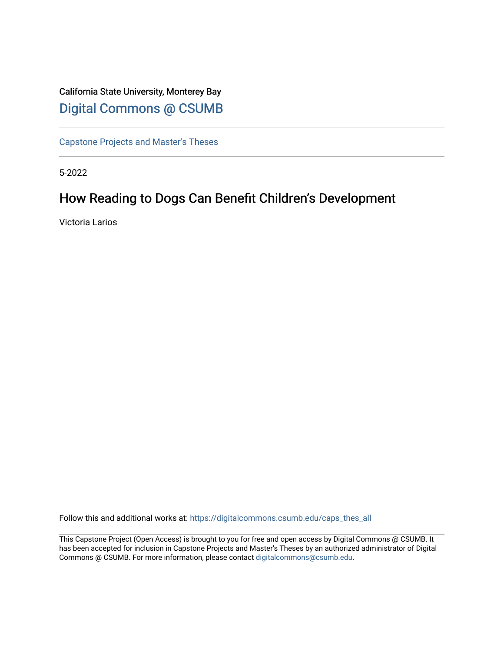# California State University, Monterey Bay [Digital Commons @ CSUMB](https://digitalcommons.csumb.edu/)

[Capstone Projects and Master's Theses](https://digitalcommons.csumb.edu/caps_thes_all)

5-2022

# How Reading to Dogs Can Benefit Children's Development

Victoria Larios

Follow this and additional works at: [https://digitalcommons.csumb.edu/caps\\_thes\\_all](https://digitalcommons.csumb.edu/caps_thes_all?utm_source=digitalcommons.csumb.edu%2Fcaps_thes_all%2F1317&utm_medium=PDF&utm_campaign=PDFCoverPages)

This Capstone Project (Open Access) is brought to you for free and open access by Digital Commons @ CSUMB. It has been accepted for inclusion in Capstone Projects and Master's Theses by an authorized administrator of Digital Commons @ CSUMB. For more information, please contact [digitalcommons@csumb.edu](mailto:digitalcommons@csumb.edu).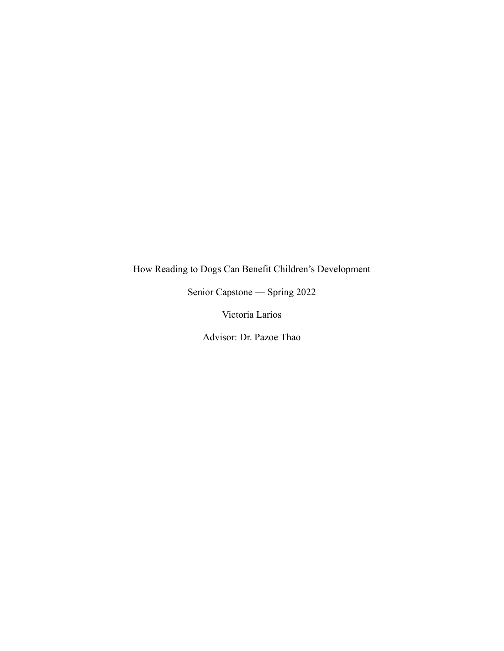# How Reading to Dogs Can Benefit Children's Development

Senior Capstone — Spring 2022

Victoria Larios

Advisor: Dr. Pazoe Thao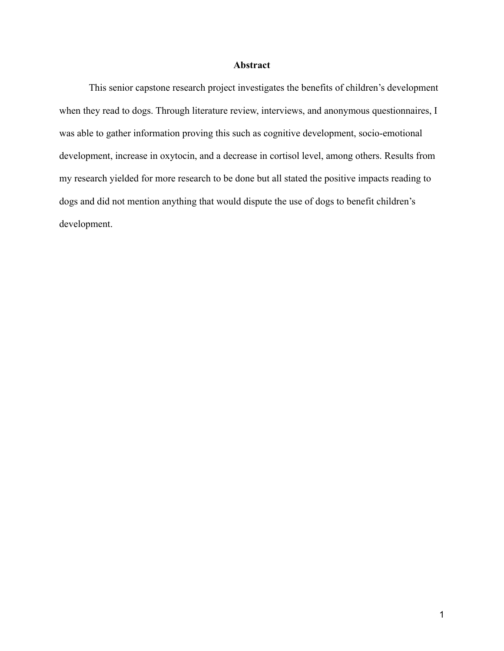## **Abstract**

This senior capstone research project investigates the benefits of children's development when they read to dogs. Through literature review, interviews, and anonymous questionnaires, I was able to gather information proving this such as cognitive development, socio-emotional development, increase in oxytocin, and a decrease in cortisol level, among others. Results from my research yielded for more research to be done but all stated the positive impacts reading to dogs and did not mention anything that would dispute the use of dogs to benefit children's development.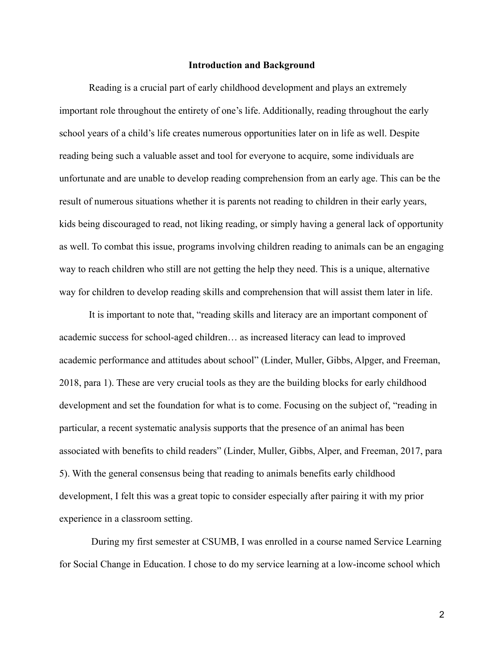#### **Introduction and Background**

Reading is a crucial part of early childhood development and plays an extremely important role throughout the entirety of one's life. Additionally, reading throughout the early school years of a child's life creates numerous opportunities later on in life as well. Despite reading being such a valuable asset and tool for everyone to acquire, some individuals are unfortunate and are unable to develop reading comprehension from an early age. This can be the result of numerous situations whether it is parents not reading to children in their early years, kids being discouraged to read, not liking reading, or simply having a general lack of opportunity as well. To combat this issue, programs involving children reading to animals can be an engaging way to reach children who still are not getting the help they need. This is a unique, alternative way for children to develop reading skills and comprehension that will assist them later in life.

It is important to note that, "reading skills and literacy are an important component of academic success for school-aged children… as increased literacy can lead to improved academic performance and attitudes about school" (Linder, Muller, Gibbs, Alpger, and Freeman, 2018, para 1). These are very crucial tools as they are the building blocks for early childhood development and set the foundation for what is to come. Focusing on the subject of, "reading in particular, a recent systematic analysis supports that the presence of an animal has been associated with benefits to child readers" (Linder, Muller, Gibbs, Alper, and Freeman, 2017, para 5). With the general consensus being that reading to animals benefits early childhood development, I felt this was a great topic to consider especially after pairing it with my prior experience in a classroom setting.

During my first semester at CSUMB, I was enrolled in a course named Service Learning for Social Change in Education. I chose to do my service learning at a low-income school which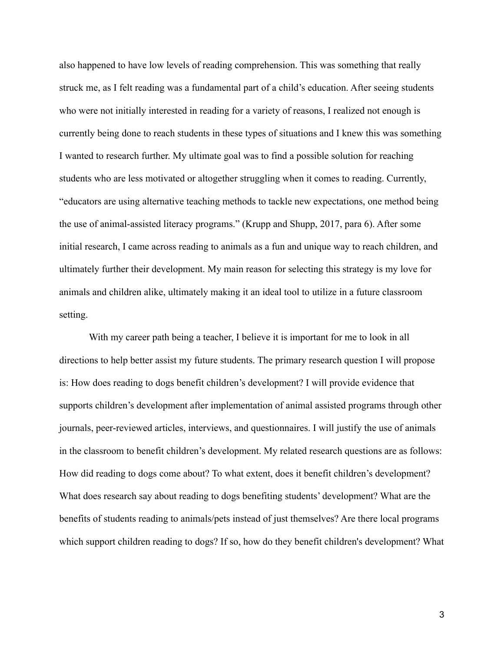also happened to have low levels of reading comprehension. This was something that really struck me, as I felt reading was a fundamental part of a child's education. After seeing students who were not initially interested in reading for a variety of reasons, I realized not enough is currently being done to reach students in these types of situations and I knew this was something I wanted to research further. My ultimate goal was to find a possible solution for reaching students who are less motivated or altogether struggling when it comes to reading. Currently, "educators are using alternative [teaching](https://go-gale-com.csumb.idm.oclc.org/ps/i.do?p=AONE&u=csumb_main&id=GALE%7CA560312456&v=2.1&it=r#) methods to tackle new expectations, one method being the use of animal-assisted literacy programs." (Krupp and Shupp, 2017, para 6). After some initial research, I came across reading to animals as a fun and unique way to reach children, and ultimately further their development. My main reason for selecting this strategy is my love for animals and children alike, ultimately making it an ideal tool to utilize in a future classroom setting.

With my career path being a teacher, I believe it is important for me to look in all directions to help better assist my future students. The primary research question I will propose is: How does reading to dogs benefit children's development? I will provide evidence that supports children's development after implementation of animal assisted programs through other journals, peer-reviewed articles, interviews, and questionnaires. I will justify the use of animals in the classroom to benefit children's development. My related research questions are as follows: How did reading to dogs come about? To what extent, does it benefit children's development? What does research say about reading to dogs benefiting students' development? What are the benefits of students reading to animals/pets instead of just themselves? Are there local programs which support children reading to dogs? If so, how do they benefit children's development? What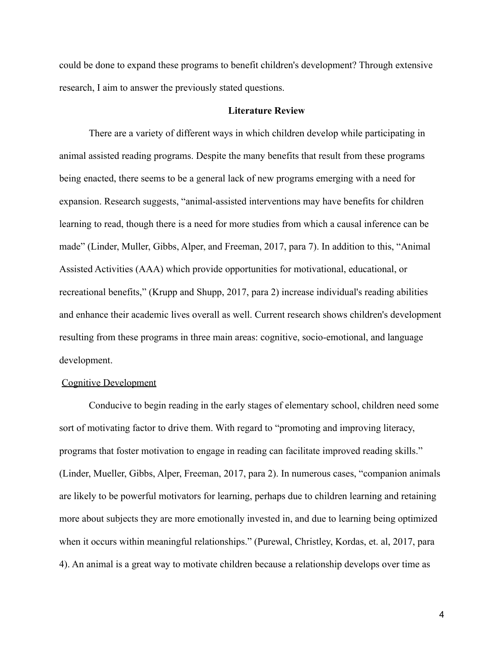could be done to expand these programs to benefit children's development? Through extensive research, I aim to answer the previously stated questions.

#### **Literature Review**

There are a variety of different ways in which children develop while participating in animal assisted reading programs. Despite the many benefits that result from these programs being enacted, there seems to be a general lack of new programs emerging with a need for expansion. Research suggests, "animal-assisted interventions may have benefits for children learning to read, though there is a need for more studies from which a causal inference can be made" (Linder, Muller, Gibbs, Alper, and Freeman, 2017, para 7). In addition to this, "Animal Assisted Activities (AAA) which provide opportunities for motivational, educational, or recreational benefits," (Krupp and Shupp, 2017, para 2) increase individual's reading abilities and enhance their academic lives overall as well. Current research shows children's development resulting from these programs in three main areas: cognitive, socio-emotional, and language development.

#### Cognitive Development

Conducive to begin reading in the early stages of elementary school, children need some sort of motivating factor to drive them. With regard to "promoting and improving literacy, programs that foster motivation to engage in reading can facilitate improved reading skills." (Linder, Mueller, Gibbs, Alper, Freeman, 2017, para 2). In numerous cases, "companion animals are likely to be powerful motivators for learning, perhaps due to children learning and retaining more about subjects they are more emotionally invested in, and due to learning being optimized when it occurs within meaningful relationships." (Purewal, Christley, Kordas, et. al, 2017, para 4). An animal is a great way to motivate children because a relationship develops over time as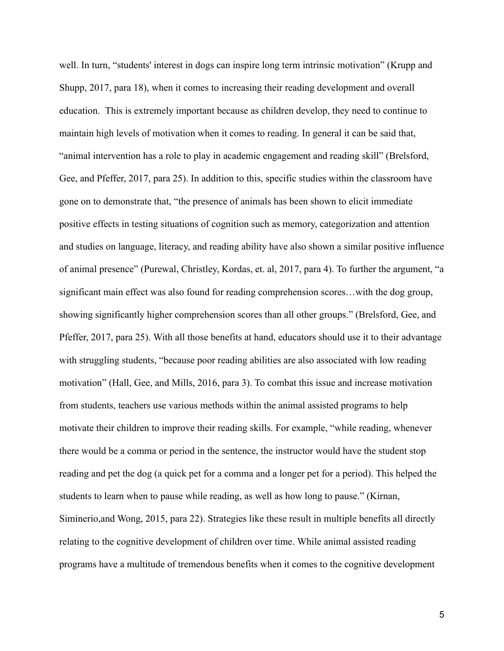well. In turn, "students' interest in dogs can inspire long term intrinsic motivation" (Krupp and Shupp, 2017, para 18), when it comes to increasing their reading development and overall education. This is extremely important because as children develop, they need to continue to maintain high levels of motivation when it comes to reading. In general it can be said that, "animal intervention has a role to play in academic engagement and reading skill" (Brelsford, Gee, and Pfeffer, 2017, para 25). In addition to this, specific studies within the classroom have gone on to demonstrate that, "the presence of animals has been shown to elicit immediate positive effects in testing situations of cognition such as memory, categorization and attention and studies on language, literacy, and reading ability have also shown a similar positive influence of animal presence" (Purewal, Christley, Kordas, et. al, 2017, para 4). To further the argument, "a significant main effect was also found for reading comprehension scores…with the dog group, showing significantly higher comprehension scores than all other groups." (Brelsford, Gee, and Pfeffer, 2017, para 25). With all those benefits at hand, educators should use it to their advantage with struggling students, "because poor reading abilities are also associated with low reading motivation" (Hall, Gee, and Mills, 2016, para 3). To combat this issue and increase motivation from students, teachers use various methods within the animal assisted programs to help motivate their children to improve their reading skills. For example, "while reading, whenever there would be a comma or period in the sentence, the instructor would have the student stop reading and pet the dog (a quick pet for a comma and a longer pet for a period). This helped the students to learn when to pause while reading, as well as how long to pause." (Kirnan, Siminerio,and Wong, 2015, para 22). Strategies like these result in multiple benefits all directly relating to the cognitive development of children over time. While animal assisted reading programs have a multitude of tremendous benefits when it comes to the cognitive development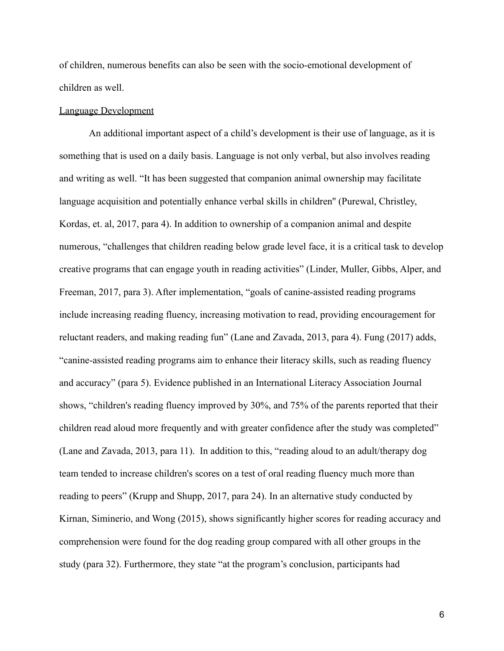of children, numerous benefits can also be seen with the socio-emotional development of children as well.

#### Language Development

An additional important aspect of a child's development is their use of language, as it is something that is used on a daily basis. Language is not only verbal, but also involves reading and writing as well. "It has been suggested that companion animal ownership may facilitate language acquisition and potentially enhance verbal skills in children'' (Purewal, Christley, Kordas, et. al, 2017, para 4). In addition to ownership of a companion animal and despite numerous, "challenges that children reading below grade level face, it is a critical task to develop creative programs that can engage youth in reading activities" (Linder, Muller, Gibbs, Alper, and Freeman, 2017, para 3). After implementation, "goals of canine-assisted reading programs include increasing reading fluency, increasing motivation to read, providing encouragement for reluctant readers, and making reading fun" (Lane and Zavada, 2013, para 4). Fung (2017) adds, "canine-assisted reading programs aim to enhance their literacy skills, such as reading fluency and accuracy" (para 5). Evidence published in an International Literacy Association Journal shows, "children's reading fluency improved by 30%, and 75% of the parents reported that their children read aloud more frequently and with greater confidence after the study was completed" (Lane and Zavada, 2013, para 11). In addition to this, "reading aloud to an adult/therapy dog team tended to increase children's scores on a test of oral reading fluency much more than reading to peers" (Krupp and Shupp, 2017, para 24). In an alternative study conducted by Kirnan, Siminerio, and Wong (2015), shows significantly higher scores for reading accuracy and comprehension were found for the dog reading group compared with all other groups in the study (para 32). Furthermore, they state "at the program's conclusion, participants had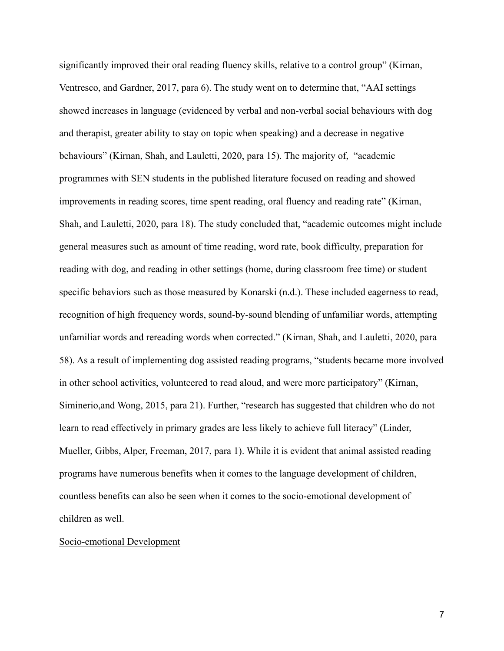significantly improved their oral reading fluency skills, relative to a control group" (Kirnan, Ventresco, and Gardner, 2017, para 6). The study went on to determine that, "AAI settings showed increases in language (evidenced by verbal and non-verbal social behaviours with dog and therapist, greater ability to stay on topic when speaking) and a decrease in negative behaviours" (Kirnan, Shah, and Lauletti, 2020, para 15). The majority of, "academic programmes with SEN students in the published literature focused on reading and showed improvements in reading scores, time spent reading, oral fluency and reading rate" (Kirnan, Shah, and Lauletti, 2020, para 18). The study concluded that, "academic outcomes might include general measures such as amount of time reading, word rate, book difficulty, preparation for reading with dog, and reading in other settings (home, during classroom free time) or student specific behaviors such as those measured by Konarski (n.d.). These included eagerness to read, recognition of high frequency words, sound-by-sound blending of unfamiliar words, attempting unfamiliar words and rereading words when corrected." (Kirnan, Shah, and Lauletti, 2020, para 58). As a result of implementing dog assisted reading programs, "students became more involved in other school activities, volunteered to read aloud, and were more participatory" (Kirnan, Siminerio,and Wong, 2015, para 21). Further, "research has suggested that children who do not learn to read effectively in primary grades are less likely to achieve full literacy" (Linder, Mueller, Gibbs, Alper, Freeman, 2017, para 1). While it is evident that animal assisted reading programs have numerous benefits when it comes to the language development of children, countless benefits can also be seen when it comes to the socio-emotional development of children as well.

#### Socio-emotional Development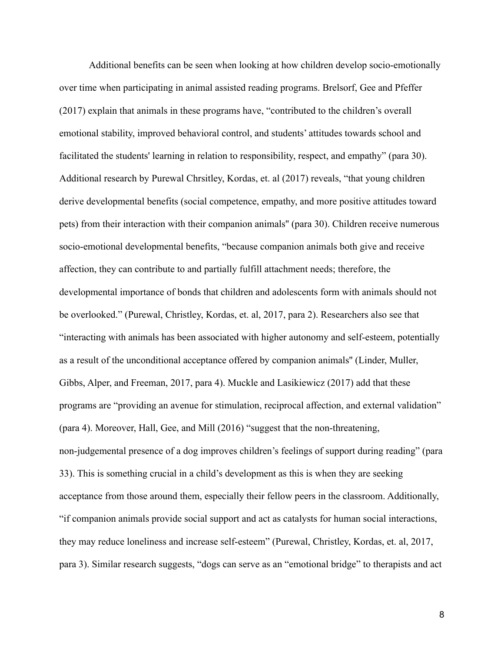Additional benefits can be seen when looking at how children develop socio-emotionally over time when participating in animal assisted reading programs. Brelsorf, Gee and Pfeffer (2017) explain that animals in these programs have, "contributed to the children's overall emotional stability, improved behavioral control, and students' attitudes towards school and facilitated the students' learning in relation to responsibility, respect, and empathy" (para 30). Additional research by Purewal Chrsitley, Kordas, et. al (2017) reveals, "that young children derive developmental benefits (social competence, empathy, and more positive attitudes toward pets) from their interaction with their companion animals'' (para 30). Children receive numerous socio-emotional developmental benefits, "because companion animals both give and receive affection, they can contribute to and partially fulfill attachment needs; therefore, the developmental importance of bonds that children and adolescents form with animals should not be overlooked." (Purewal, Christley, Kordas, et. al, 2017, para 2). Researchers also see that "interacting with animals has been associated with higher autonomy and self-esteem, potentially as a result of the unconditional acceptance offered by companion animals'' (Linder, Muller, Gibbs, Alper, and Freeman, 2017, para 4). Muckle and Lasikiewicz (2017) add that these programs are "providing an avenue for stimulation, reciprocal affection, and external validation" (para 4). Moreover, Hall, Gee, and Mill (2016) "suggest that the non-threatening, non-judgemental presence of a dog improves children's feelings of support during reading" (para 33). This is something crucial in a child's development as this is when they are seeking acceptance from those around them, especially their fellow peers in the classroom. Additionally, "if companion animals provide social support and act as catalysts for human social interactions, they may reduce loneliness and increase self-esteem" (Purewal, Christley, Kordas, et. al, 2017, para 3). Similar research suggests, "dogs can serve as an "emotional bridge" to therapists and act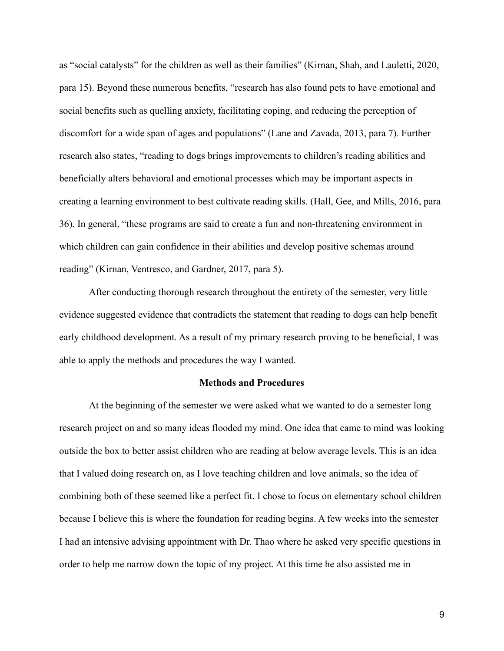as "social catalysts" for the children as well as their families" (Kirnan, Shah, and Lauletti, 2020, para 15). Beyond these numerous benefits, "research has also found pets to have emotional and social benefits such as quelling anxiety, facilitating coping, and reducing the perception of discomfort for a wide span of ages and populations" (Lane and Zavada, 2013, para 7). Further research also states, "reading to dogs brings improvements to children's reading abilities and beneficially alters behavioral and emotional processes which may be important aspects in creating a learning environment to best cultivate reading skills. (Hall, Gee, and Mills, 2016, para 36). In general, "these programs are said to create a fun and non-threatening environment in which children can gain confidence in their abilities and develop positive schemas around reading" (Kirnan, Ventresco, and Gardner, 2017, para 5).

After conducting thorough research throughout the entirety of the semester, very little evidence suggested evidence that contradicts the statement that reading to dogs can help benefit early childhood development. As a result of my primary research proving to be beneficial, I was able to apply the methods and procedures the way I wanted.

#### **Methods and Procedures**

At the beginning of the semester we were asked what we wanted to do a semester long research project on and so many ideas flooded my mind. One idea that came to mind was looking outside the box to better assist children who are reading at below average levels. This is an idea that I valued doing research on, as I love teaching children and love animals, so the idea of combining both of these seemed like a perfect fit. I chose to focus on elementary school children because I believe this is where the foundation for reading begins. A few weeks into the semester I had an intensive advising appointment with Dr. Thao where he asked very specific questions in order to help me narrow down the topic of my project. At this time he also assisted me in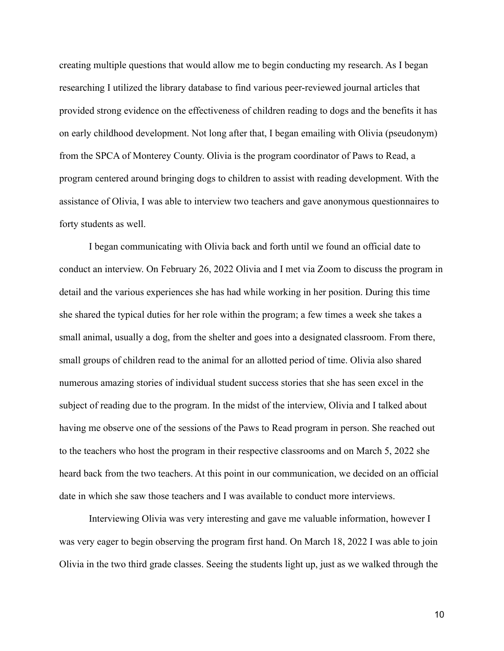creating multiple questions that would allow me to begin conducting my research. As I began researching I utilized the library database to find various peer-reviewed journal articles that provided strong evidence on the effectiveness of children reading to dogs and the benefits it has on early childhood development. Not long after that, I began emailing with Olivia (pseudonym) from the SPCA of Monterey County. Olivia is the program coordinator of Paws to Read, a program centered around bringing dogs to children to assist with reading development. With the assistance of Olivia, I was able to interview two teachers and gave anonymous questionnaires to forty students as well.

I began communicating with Olivia back and forth until we found an official date to conduct an interview. On February 26, 2022 Olivia and I met via Zoom to discuss the program in detail and the various experiences she has had while working in her position. During this time she shared the typical duties for her role within the program; a few times a week she takes a small animal, usually a dog, from the shelter and goes into a designated classroom. From there, small groups of children read to the animal for an allotted period of time. Olivia also shared numerous amazing stories of individual student success stories that she has seen excel in the subject of reading due to the program. In the midst of the interview, Olivia and I talked about having me observe one of the sessions of the Paws to Read program in person. She reached out to the teachers who host the program in their respective classrooms and on March 5, 2022 she heard back from the two teachers. At this point in our communication, we decided on an official date in which she saw those teachers and I was available to conduct more interviews.

Interviewing Olivia was very interesting and gave me valuable information, however I was very eager to begin observing the program first hand. On March 18, 2022 I was able to join Olivia in the two third grade classes. Seeing the students light up, just as we walked through the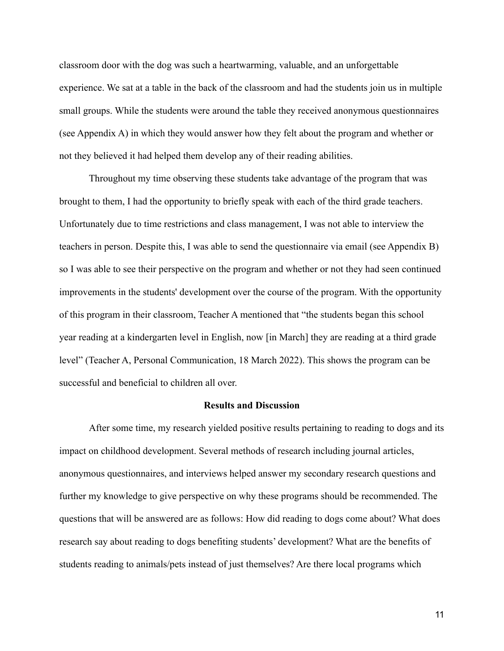classroom door with the dog was such a heartwarming, valuable, and an unforgettable experience. We sat at a table in the back of the classroom and had the students join us in multiple small groups. While the students were around the table they received anonymous questionnaires (see Appendix A) in which they would answer how they felt about the program and whether or not they believed it had helped them develop any of their reading abilities.

Throughout my time observing these students take advantage of the program that was brought to them, I had the opportunity to briefly speak with each of the third grade teachers. Unfortunately due to time restrictions and class management, I was not able to interview the teachers in person. Despite this, I was able to send the questionnaire via email (see Appendix B) so I was able to see their perspective on the program and whether or not they had seen continued improvements in the students' development over the course of the program. With the opportunity of this program in their classroom, Teacher A mentioned that "the students began this school year reading at a kindergarten level in English, now [in March] they are reading at a third grade level" (Teacher A, Personal Communication, 18 March 2022). This shows the program can be successful and beneficial to children all over.

#### **Results and Discussion**

After some time, my research yielded positive results pertaining to reading to dogs and its impact on childhood development. Several methods of research including journal articles, anonymous questionnaires, and interviews helped answer my secondary research questions and further my knowledge to give perspective on why these programs should be recommended. The questions that will be answered are as follows: How did reading to dogs come about? What does research say about reading to dogs benefiting students' development? What are the benefits of students reading to animals/pets instead of just themselves? Are there local programs which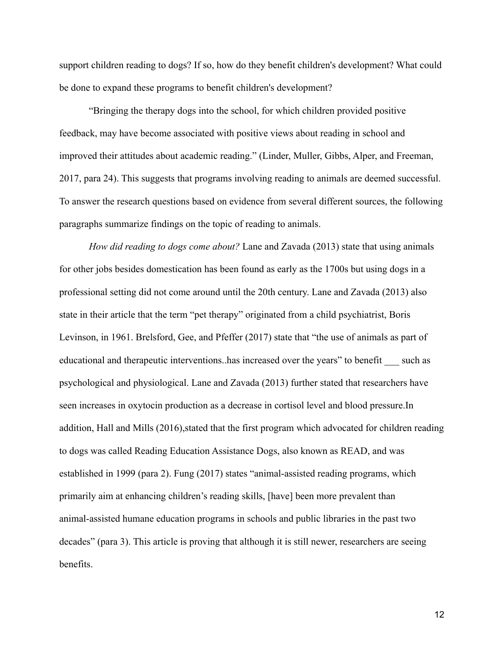support children reading to dogs? If so, how do they benefit children's development? What could be done to expand these programs to benefit children's development?

"Bringing the therapy dogs into the school, for which children provided positive feedback, may have become associated with positive views about reading in school and improved their attitudes about academic reading." (Linder, Muller, Gibbs, Alper, and Freeman, 2017, para 24). This suggests that programs involving reading to animals are deemed successful. To answer the research questions based on evidence from several different sources, the following paragraphs summarize findings on the topic of reading to animals.

*How did reading to dogs come about?* Lane and Zavada (2013) state that using animals for other jobs besides domestication has been found as early as the 1700s but using dogs in a professional setting did not come around until the 20th century. Lane and Zavada (2013) also state in their article that the term "pet therapy" originated from a child psychiatrist, Boris Levinson, in 1961. Brelsford, Gee, and Pfeffer (2017) state that "the use of animals as part of educational and therapeutic interventions. has increased over the years" to benefit such as psychological and physiological. Lane and Zavada (2013) further stated that researchers have seen increases in oxytocin production as a decrease in cortisol level and blood pressure.In addition, Hall and Mills (2016), stated that the first program which advocated for children reading to dogs was called Reading Education Assistance Dogs, also known as READ, and was established in 1999 (para 2). Fung (2017) states "animal-assisted reading programs, which primarily aim at enhancing children's reading skills, [have] been more prevalent than animal-assisted humane education programs in schools and public libraries in the past two decades" (para 3). This article is proving that although it is still newer, researchers are seeing benefits.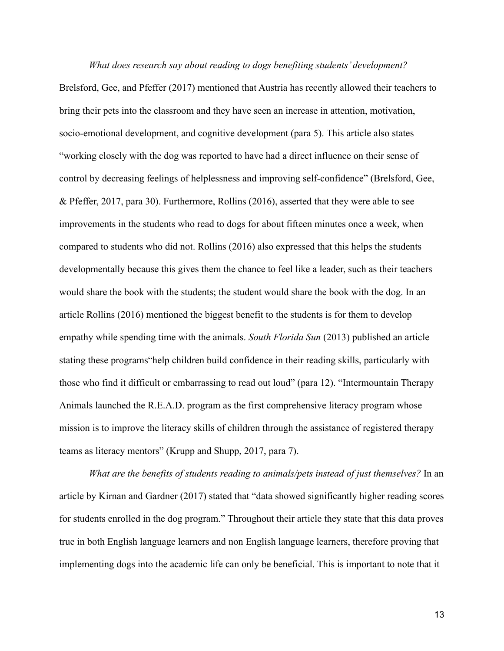*What does research say about reading to dogs benefiting students' development?* Brelsford, Gee, and Pfeffer (2017) mentioned that Austria has recently allowed their teachers to bring their pets into the classroom and they have seen an increase in attention, motivation, socio-emotional development, and cognitive development (para 5). This article also states "working closely with the dog was reported to have had a direct influence on their sense of control by decreasing feelings of helplessness and improving self-confidence" (Brelsford, Gee, & Pfeffer, 2017, para 30). Furthermore, Rollins (2016), asserted that they were able to see improvements in the students who read to dogs for about fifteen minutes once a week, when compared to students who did not. Rollins (2016) also expressed that this helps the students developmentally because this gives them the chance to feel like a leader, such as their teachers would share the book with the students; the student would share the book with the dog. In an article Rollins (2016) mentioned the biggest benefit to the students is for them to develop empathy while spending time with the animals. *South Florida Sun* (2013) published an article stating these programs"help children build confidence in their reading skills, particularly with those who find it difficult or embarrassing to read out loud" (para 12). "Intermountain Therapy Animals launched the R.E.A.D. program as the first comprehensive literacy program whose mission is to improve the literacy skills of children through the assistance of registered therapy teams as literacy mentors" (Krupp and Shupp, 2017, para 7).

*What are the benefits of students reading to animals/pets instead of just themselves?* In an article by Kirnan and Gardner (2017) stated that "data showed significantly higher reading scores for students enrolled in the dog program." Throughout their article they state that this data proves true in both English language learners and non English language learners, therefore proving that implementing dogs into the academic life can only be beneficial. This is important to note that it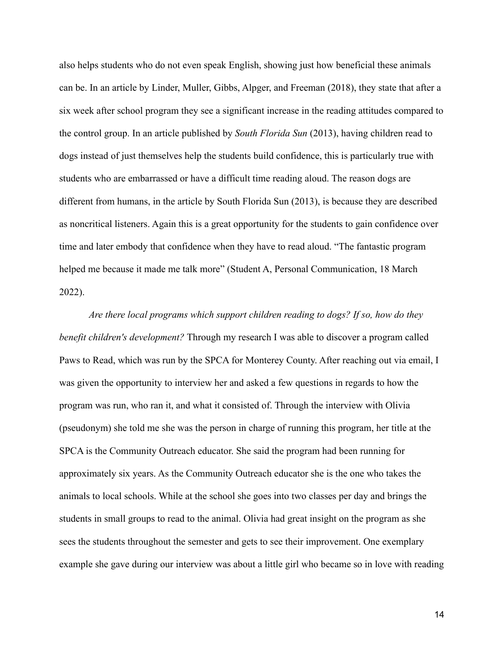also helps students who do not even speak English, showing just how beneficial these animals can be. In an article by Linder, Muller, Gibbs, Alpger, and Freeman (2018), they state that after a six week after school program they see a significant increase in the reading attitudes compared to the control group. In an article published by *South Florida Sun* (2013), having children read to dogs instead of just themselves help the students build confidence, this is particularly true with students who are embarrassed or have a difficult time reading aloud. The reason dogs are different from humans, in the article by South Florida Sun (2013), is because they are described as noncritical listeners. Again this is a great opportunity for the students to gain confidence over time and later embody that confidence when they have to read aloud. "The fantastic program helped me because it made me talk more" (Student A, Personal Communication, 18 March 2022).

*Are there local programs which support children reading to dogs? If so, how do they benefit children's development?* Through my research I was able to discover a program called Paws to Read, which was run by the SPCA for Monterey County. After reaching out via email, I was given the opportunity to interview her and asked a few questions in regards to how the program was run, who ran it, and what it consisted of. Through the interview with Olivia (pseudonym) she told me she was the person in charge of running this program, her title at the SPCA is the Community Outreach educator. She said the program had been running for approximately six years. As the Community Outreach educator she is the one who takes the animals to local schools. While at the school she goes into two classes per day and brings the students in small groups to read to the animal. Olivia had great insight on the program as she sees the students throughout the semester and gets to see their improvement. One exemplary example she gave during our interview was about a little girl who became so in love with reading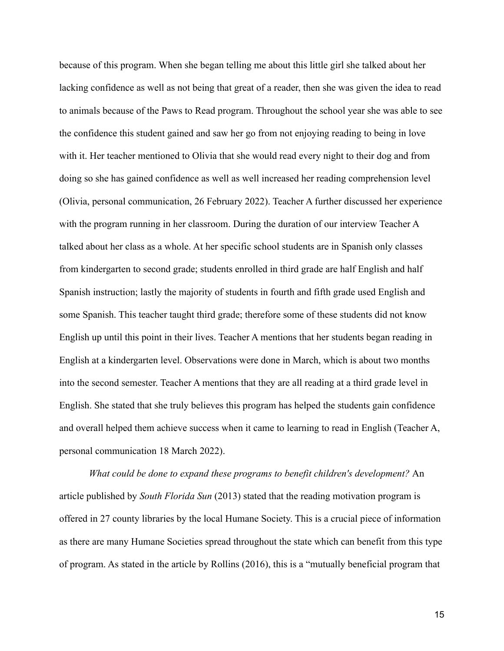because of this program. When she began telling me about this little girl she talked about her lacking confidence as well as not being that great of a reader, then she was given the idea to read to animals because of the Paws to Read program. Throughout the school year she was able to see the confidence this student gained and saw her go from not enjoying reading to being in love with it. Her teacher mentioned to Olivia that she would read every night to their dog and from doing so she has gained confidence as well as well increased her reading comprehension level (Olivia, personal communication, 26 February 2022). Teacher A further discussed her experience with the program running in her classroom. During the duration of our interview Teacher A talked about her class as a whole. At her specific school students are in Spanish only classes from kindergarten to second grade; students enrolled in third grade are half English and half Spanish instruction; lastly the majority of students in fourth and fifth grade used English and some Spanish. This teacher taught third grade; therefore some of these students did not know English up until this point in their lives. Teacher A mentions that her students began reading in English at a kindergarten level. Observations were done in March, which is about two months into the second semester. Teacher A mentions that they are all reading at a third grade level in English. She stated that she truly believes this program has helped the students gain confidence and overall helped them achieve success when it came to learning to read in English (Teacher A, personal communication 18 March 2022).

*What could be done to expand these programs to benefit children's development?* An article published by *South Florida Sun* (2013) stated that the reading motivation program is offered in 27 county libraries by the local Humane Society. This is a crucial piece of information as there are many Humane Societies spread throughout the state which can benefit from this type of program. As stated in the article by Rollins (2016), this is a "mutually beneficial program that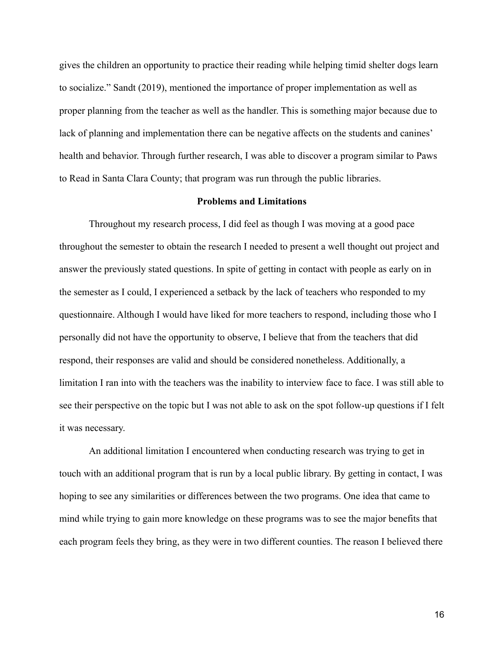gives the children an opportunity to practice their reading while helping timid shelter dogs learn to socialize." Sandt (2019), mentioned the importance of proper implementation as well as proper planning from the teacher as well as the handler. This is something major because due to lack of planning and implementation there can be negative affects on the students and canines' health and behavior. Through further research, I was able to discover a program similar to Paws to Read in Santa Clara County; that program was run through the public libraries.

#### **Problems and Limitations**

Throughout my research process, I did feel as though I was moving at a good pace throughout the semester to obtain the research I needed to present a well thought out project and answer the previously stated questions. In spite of getting in contact with people as early on in the semester as I could, I experienced a setback by the lack of teachers who responded to my questionnaire. Although I would have liked for more teachers to respond, including those who I personally did not have the opportunity to observe, I believe that from the teachers that did respond, their responses are valid and should be considered nonetheless. Additionally, a limitation I ran into with the teachers was the inability to interview face to face. I was still able to see their perspective on the topic but I was not able to ask on the spot follow-up questions if I felt it was necessary.

An additional limitation I encountered when conducting research was trying to get in touch with an additional program that is run by a local public library. By getting in contact, I was hoping to see any similarities or differences between the two programs. One idea that came to mind while trying to gain more knowledge on these programs was to see the major benefits that each program feels they bring, as they were in two different counties. The reason I believed there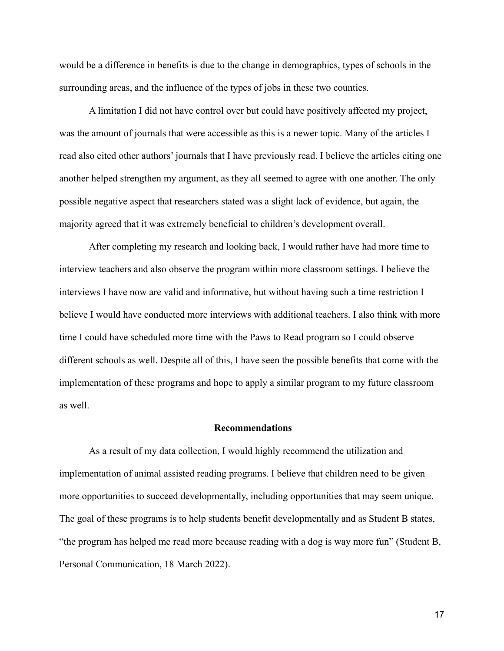would be a difference in benefits is due to the change in demographics, types of schools in the surrounding areas, and the influence of the types of jobs in these two counties.

A limitation I did not have control over but could have positively affected my project, was the amount of journals that were accessible as this is a newer topic. Many of the articles I read also cited other authors' journals that I have previously read. I believe the articles citing one another helped strengthen my argument, as they all seemed to agree with one another. The only possible negative aspect that researchers stated was a slight lack of evidence, but again, the majority agreed that it was extremely beneficial to children's development overall.

After completing my research and looking back, I would rather have had more time to interview teachers and also observe the program within more classroom settings. I believe the interviews I have now are valid and informative, but without having such a time restriction I believe I would have conducted more interviews with additional teachers. I also think with more time I could have scheduled more time with the Paws to Read program so I could observe different schools as well. Despite all of this, I have seen the possible benefits that come with the implementation of these programs and hope to apply a similar program to my future classroom as well.

#### **Recommendations**

As a result of my data collection, I would highly recommend the utilization and implementation of animal assisted reading programs. I believe that children need to be given more opportunities to succeed developmentally, including opportunities that may seem unique. The goal of these programs is to help students benefit developmentally and as Student B states, "the program has helped me read more because reading with a dog is way more fun" (Student B, Personal Communication, 18 March 2022).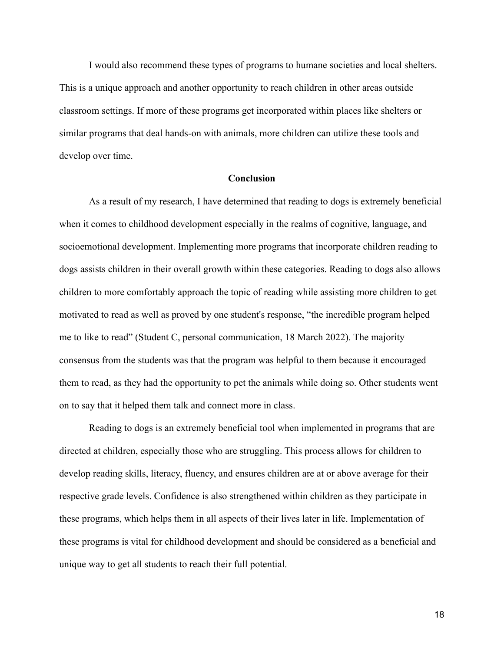I would also recommend these types of programs to humane societies and local shelters. This is a unique approach and another opportunity to reach children in other areas outside classroom settings. If more of these programs get incorporated within places like shelters or similar programs that deal hands-on with animals, more children can utilize these tools and develop over time.

### **Conclusion**

As a result of my research, I have determined that reading to dogs is extremely beneficial when it comes to childhood development especially in the realms of cognitive, language, and socioemotional development. Implementing more programs that incorporate children reading to dogs assists children in their overall growth within these categories. Reading to dogs also allows children to more comfortably approach the topic of reading while assisting more children to get motivated to read as well as proved by one student's response, "the incredible program helped me to like to read" (Student C, personal communication, 18 March 2022). The majority consensus from the students was that the program was helpful to them because it encouraged them to read, as they had the opportunity to pet the animals while doing so. Other students went on to say that it helped them talk and connect more in class.

Reading to dogs is an extremely beneficial tool when implemented in programs that are directed at children, especially those who are struggling. This process allows for children to develop reading skills, literacy, fluency, and ensures children are at or above average for their respective grade levels. Confidence is also strengthened within children as they participate in these programs, which helps them in all aspects of their lives later in life. Implementation of these programs is vital for childhood development and should be considered as a beneficial and unique way to get all students to reach their full potential.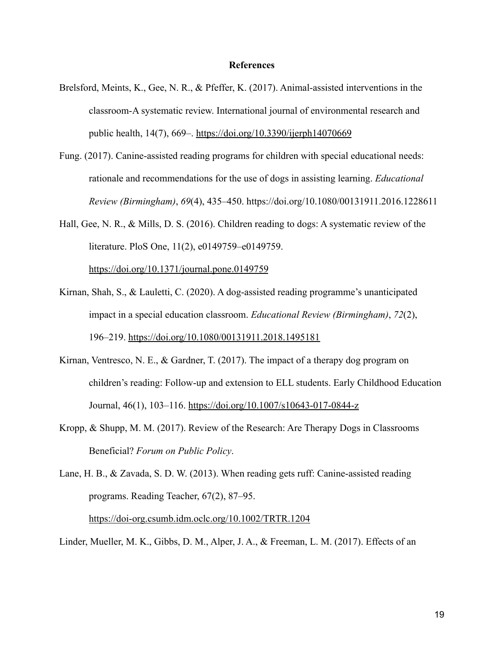#### **References**

- Brelsford, Meints, K., Gee, N. R., & Pfeffer, K. (2017). Animal-assisted interventions in the classroom-A systematic review. International journal of environmental research and public health, 14(7), 669–. <https://doi.org/10.3390/ijerph14070669>
- Fung. (2017). Canine-assisted reading programs for children with special educational needs: rationale and recommendations for the use of dogs in assisting learning. *Educational Review (Birmingham)*, *69*(4), 435–450. https://doi.org/10.1080/00131911.2016.1228611
- Hall, Gee, N. R., & Mills, D. S. (2016). Children reading to dogs: A systematic review of the literature. PloS One, 11(2), e0149759–e0149759[.](https://doi.org/10.1371/journal.pone.0149759) <https://doi.org/10.1371/journal.pone.0149759>
- Kirnan, Shah, S., & Lauletti, C. (2020). A dog-assisted reading programme's unanticipated impact in a special education classroom. *Educational Review (Birmingham)*, *72*(2), 196–219. <https://doi.org/10.1080/00131911.2018.1495181>
- Kirnan, Ventresco, N. E., & Gardner, T. (2017). The impact of a therapy dog program on children's reading: Follow-up and extension to ELL students. Early Childhood Education Journal, 46(1), 103–116. <https://doi.org/10.1007/s10643-017-0844-z>
- Kropp, & Shupp, M. M. (2017). Review of the Research: Are Therapy Dogs in Classrooms Beneficial? *Forum on Public Policy*.
- Lane, H. B., & Zavada, S. D. W. (2013). When reading gets ruff: Canine-assisted reading programs. Reading Teacher, 67(2), 87–95.

<https://doi-org.csumb.idm.oclc.org/10.1002/TRTR.1204>

Linder, Mueller, M. K., Gibbs, D. M., Alper, J. A., & Freeman, L. M. (2017). Effects of an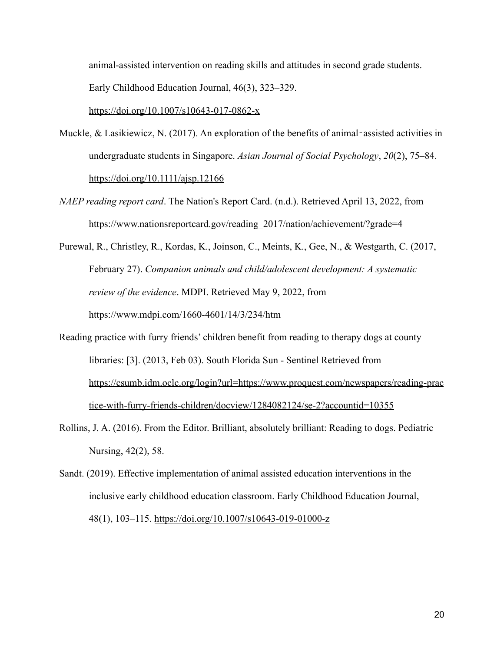animal-assisted intervention on reading skills and attitudes in second grade students. Early Childhood Education Journal, 46(3), 323–329.

#### <https://doi.org/10.1007/s10643-017-0862-x>

- Muckle, & Lasikiewicz, N. (2017). An exploration of the benefits of animal-assisted activities in undergraduate students in Singapore. *Asian Journal of Social Psychology*, *20*(2), 75–84. <https://doi.org/10.1111/ajsp.12166>
- *NAEP reading report card*. The Nation's Report Card. (n.d.). Retrieved April 13, 2022, from https://www.nationsreportcard.gov/reading\_2017/nation/achievement/?grade=4

Purewal, R., Christley, R., Kordas, K., Joinson, C., Meints, K., Gee, N., & Westgarth, C. (2017, February 27). *Companion animals and child/adolescent development: A systematic review of the evidence*. MDPI. Retrieved May 9, 2022, from https://www.mdpi.com/1660-4601/14/3/234/htm

- Reading practice with furry friends' children benefit from reading to therapy dogs at county libraries: [3]. (2013, Feb 03). South Florida Sun - Sentinel Retrieved fro[m](https://csumb.idm.oclc.org/login?url=https://www.proquest.com/newspapers/reading-practice-with-furry-friends-children/docview/1284082124/se-2?accountid=10355) [https://csumb.idm.oclc.org/login?url=https://www.proquest.com/newspapers/reading-prac](https://csumb.idm.oclc.org/login?url=https://www.proquest.com/newspapers/reading-practice-with-furry-friends-children/docview/1284082124/se-2?accountid=10355) [tice-with-furry-friends-children/docview/1284082124/se-2?accountid=10355](https://csumb.idm.oclc.org/login?url=https://www.proquest.com/newspapers/reading-practice-with-furry-friends-children/docview/1284082124/se-2?accountid=10355)
- Rollins, J. A. (2016). From the Editor. Brilliant, absolutely brilliant: Reading to dogs. Pediatric Nursing, 42(2), 58.
- Sandt. (2019). Effective implementation of animal assisted education interventions in the inclusive early childhood education classroom. Early Childhood Education Journal, 48(1), 103–115. <https://doi.org/10.1007/s10643-019-01000-z>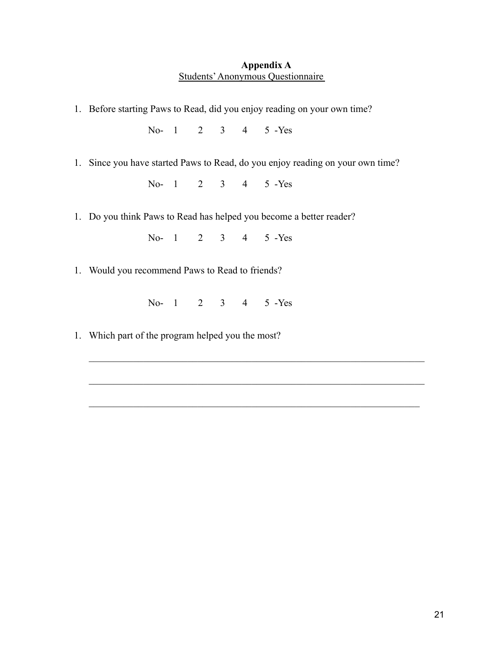### **Appendix A** Students'Anonymous Questionnaire

1. Before starting Paws to Read, did you enjoy reading on your own time?

No- 1 2 3 4 5 -Yes

1. Since you have started Paws to Read, do you enjoy reading on your own time?

No- 1 2 3 4 5 -Yes

1. Do you think Paws to Read has helped you become a better reader?

No- 1 2 3 4 5 -Yes

1. Would you recommend Paws to Read to friends?

No- 1 2 3 4 5 -Yes

 $\mathcal{L}_\text{max}$  , and the contribution of the contribution of the contribution of the contribution of the contribution of the contribution of the contribution of the contribution of the contribution of the contribution of t

 $\mathcal{L}_\text{max} = \mathcal{L}_\text{max} = \mathcal{L}_\text{max} = \mathcal{L}_\text{max} = \mathcal{L}_\text{max} = \mathcal{L}_\text{max} = \mathcal{L}_\text{max} = \mathcal{L}_\text{max} = \mathcal{L}_\text{max} = \mathcal{L}_\text{max} = \mathcal{L}_\text{max} = \mathcal{L}_\text{max} = \mathcal{L}_\text{max} = \mathcal{L}_\text{max} = \mathcal{L}_\text{max} = \mathcal{L}_\text{max} = \mathcal{L}_\text{max} = \mathcal{L}_\text{max} = \mathcal{$ 

1. Which part of the program helped you the most?